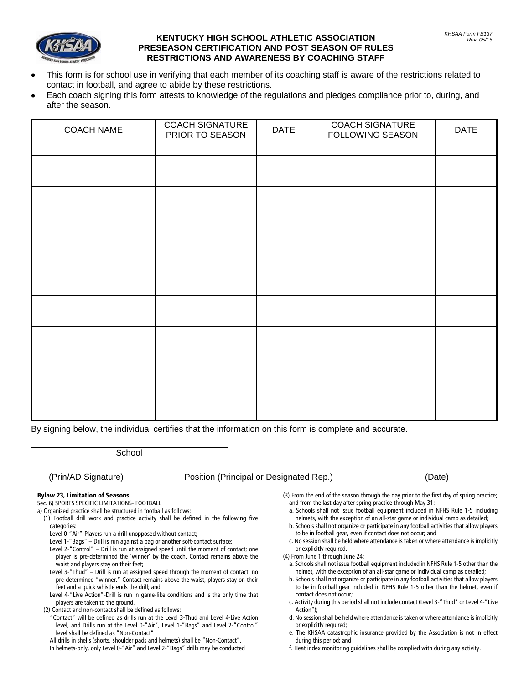## **KENTUCKY HIGH SCHOOL ATHLETIC ASSOCIATION PRESEASON CERTIFICATION AND POST SEASON OF RULES RESTRICTIONS AND AWARENESS BY COACHING STAFF**

- This form is for school use in verifying that each member of its coaching staff is aware of the restrictions related to contact in football, and agree to abide by these restrictions.
- Each coach signing this form attests to knowledge of the regulations and pledges compliance prior to, during, and after the season.

| <b>COACH NAME</b> | <b>COACH SIGNATURE</b><br>PRIOR TO SEASON | <b>DATE</b> | <b>COACH SIGNATURE</b><br>FOLLOWING SEASON | <b>DATE</b> |
|-------------------|-------------------------------------------|-------------|--------------------------------------------|-------------|
|                   |                                           |             |                                            |             |
|                   |                                           |             |                                            |             |
|                   |                                           |             |                                            |             |
|                   |                                           |             |                                            |             |
|                   |                                           |             |                                            |             |
|                   |                                           |             |                                            |             |
|                   |                                           |             |                                            |             |
|                   |                                           |             |                                            |             |
|                   |                                           |             |                                            |             |
|                   |                                           |             |                                            |             |
|                   |                                           |             |                                            |             |
|                   |                                           |             |                                            |             |
|                   |                                           |             |                                            |             |
|                   |                                           |             |                                            |             |
|                   |                                           |             |                                            |             |
|                   |                                           |             |                                            |             |
|                   |                                           |             |                                            |             |
|                   |                                           |             |                                            |             |

By signing below, the individual certifies that the information on this form is complete and accurate.

**School** 

(Prin/AD Signature) Position (Principal or Designated Rep.) (Date)

## Bylaw 23, Limitation of Seasons

Sec. 6) SPORTS SPECIFIC LIMITATIONS- FOOTBALL

- a) Organized practice shall be structured in football as follows:
- (1) Football drill work and practice activity shall be defined in the following five categories:
	- Level 0-"Air"-Players run a drill unopposed without contact;
	- Level 1-"Bags" Drill is run against a bag or another soft-contact surface;
	- Level 2-"Control" Drill is run at assigned speed until the moment of contact; one player is pre-determined the 'winner' by the coach. Contact remains above the waist and players stay on their feet;
	- Level 3-"Thud" Drill is run at assigned speed through the moment of contact; no pre-determined "winner." Contact remains above the waist, players stay on their feet and a quick whistle ends the drill; and
	- Level 4-"Live Action"-Drill is run in game-like conditions and is the only time that players are taken to the ground.
- (2) Contact and non-contact shall be defined as follows:
- "Contact" will be defined as drills run at the Level 3-Thud and Level 4-Live Action level, and Drills run at the Level 0-"Air", Level 1-"Bags" and Level 2-"Control" level shall be defined as "Non-Contact"
- All drills in shells (shorts, shoulder pads and helmets) shall be "Non-Contact".
- In helmets-only, only Level 0-"Air" and Level 2-"Bags" drills may be conducted
- (3) From the end of the season through the day prior to the first day of spring practice; and from the last day after spring practice through May 31:
	- a. Schools shall not issue football equipment included in NFHS Rule 1-5 including helmets, with the exception of an all-star game or individual camp as detailed;
	- b. Schools shall not organize or participate in any football activities that allow players to be in football gear, even if contact does not occur; and
- c. No session shall be held where attendance is taken or where attendance is implicitly or explicitly required.
- (4) From June 1 through June 24:
- a. Schools shall not issue football equipment included in NFHS Rule 1-5 other than the helmet, with the exception of an all-star game or individual camp as detailed;
- b. Schools shall not organize or participate in any football activities that allow players to be in football gear included in NFHS Rule 1-5 other than the helmet, even if contact does not occur;
- c. Activity during this period shall not include contact (Level 3-"Thud" or Level 4-"Live Action");
- d. No session shall be held where attendance is taken or where attendance is implicitly or explicitly required;
- e. The KHSAA catastrophic insurance provided by the Association is not in effect during this period; and
- f. Heat index monitoring guidelines shall be complied with during any activity.